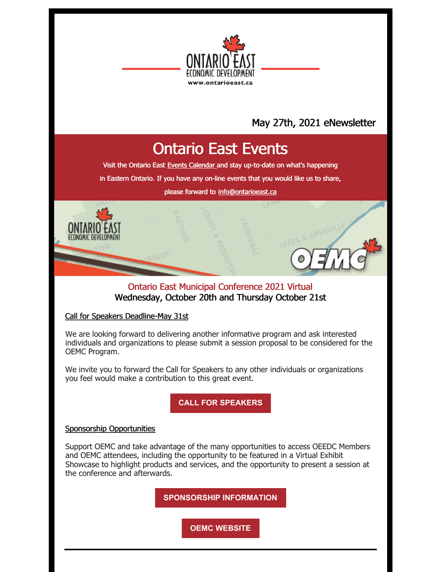

# May 27th, 2021 eNewsletter

# Ontario East Events

Visit the Ontario East Events [Calendar](https://ontarioeast.ca/events) and stay up-to-date on what's happening

in Eastern Ontario. If you have any on-line events that you would like us to share,

please forward to [info@ontarioeast.ca](mailto:info@ontarioeast.ca)

# Ontario East Municipal Conference 2021 Virtual Wednesday, October 20th and Thursday October 21st

#### Call for Speakers Deadline-May 31st

We are looking forward to delivering another informative program and ask interested individuals and organizations to please submit a session proposal to be considered for the OEMC Program.

We invite you to forward the Call for Speakers to any other individuals or organizations you feel would make a contribution to this great event.

**CALL FOR [SPEAKERS](https://oemc.ca/call-for-speakers-2021/)**

#### Sponsorship Opportunities

Support OEMC and take advantage of the many opportunities to access OEEDC Members and OEMC attendees, including the opportunity to be featured in a Virtual Exhibit Showcase to highlight products and services, and the opportunity to present a session at the conference and afterwards.

**[SPONSORSHIP](https://oemc.ca/2021-sponsorship-opportunities/) INFORMATION**

**OEMC [WEBSITE](https://oemc.ca/)**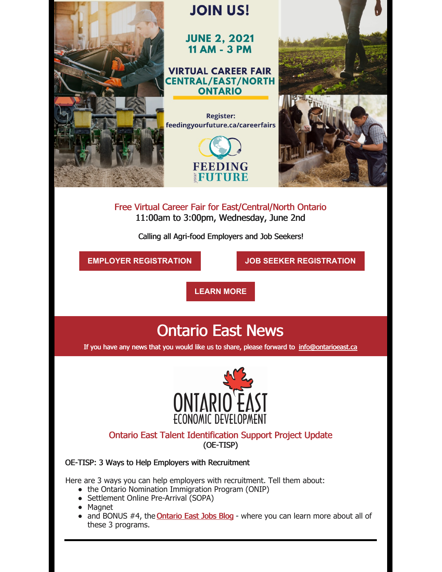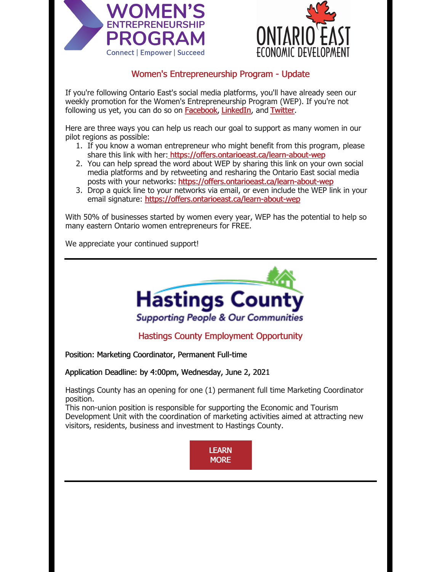



# Women's Entrepreneurship Program - Update

If you're following Ontario East's social media platforms, you'll have already seen our weekly promotion for the Women's Entrepreneurship Program (WEP). If you're not following us yet, you can do so on [Facebook](https://www.facebook.com/Ontario.East), [LinkedIn](https://www.linkedin.com/company/ontarioeast), and [Twitter](https://twitter.com/OntarioEast).

Here are three ways you can help us reach our goal to support as many women in our pilot regions as possible:

- 1. If you know a woman entrepreneur who might benefit from this program, please share this link with her: <https://offers.ontarioeast.ca/learn-about-wep>
- 2. You can help spread the word about WEP by sharing this link on your own social media platforms and by retweeting and resharing the Ontario East social media posts with your networks: <https://offers.ontarioeast.ca/learn-about-wep>
- 3. Drop a quick line to your networks via email, or even include the WEP link in your email signature: <https://offers.ontarioeast.ca/learn-about-wep>

With 50% of businesses started by women every year, WEP has the potential to help so many eastern Ontario women entrepreneurs for FREE.

We appreciate your continued support!



Hastings County Employment Opportunity

Position: Marketing Coordinator, Permanent Full-time

Application Deadline: by 4:00pm, Wednesday, June 2, 2021

Hastings County has an opening for one (1) permanent full time Marketing Coordinator position.

This non-union position is responsible for supporting the Economic and Tourism Development Unit with the coordination of marketing activities aimed at attracting new visitors, residents, business and investment to Hastings County.

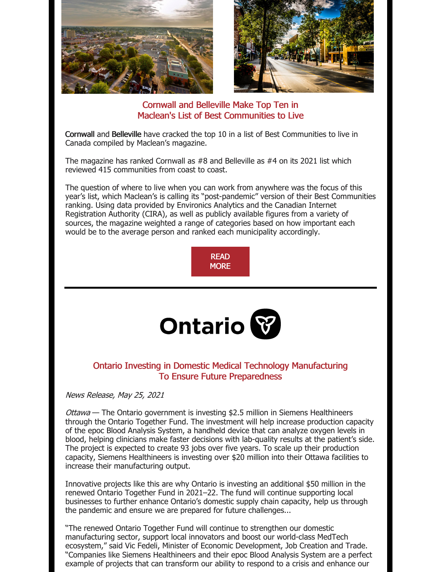

Cornwall and Belleville Make Top Ten in Maclean's List of Best Communities to Live

Cornwall and Belleville have cracked the top 10 in a list of Best Communities to live in Canada compiled by Maclean's magazine.

The magazine has ranked Cornwall as #8 and Belleville as #4 on its 2021 list which reviewed 415 communities from coast to coast.

The question of where to live when you can work from anywhere was the focus of this year's list, which Maclean's is calling its "post-pandemic" version of their Best Communities ranking. Using data provided by Environics Analytics and the Canadian Internet Registration Authority (CIRA), as well as publicly available figures from a variety of sources, the magazine weighted a range of categories based on how important each would be to the average person and ranked each municipality accordingly.





### Ontario Investing in Domestic Medical Technology Manufacturing To Ensure Future Preparedness

News Release, May 25, 2021

Ottawa - The Ontario government is investing \$2.5 million in Siemens Healthineers through the Ontario Together Fund. The investment will help increase production capacity of the epoc Blood Analysis System, a handheld device that can analyze oxygen levels in blood, helping clinicians make faster decisions with lab-quality results at the patient's side. The project is expected to create 93 jobs over five years. To scale up their production capacity, Siemens Healthineers is investing over \$20 million into their Ottawa facilities to increase their manufacturing output.

Innovative projects like this are why Ontario is investing an additional \$50 million in the renewed Ontario Together Fund in 2021–22. The fund will continue supporting local businesses to further enhance Ontario's domestic supply chain capacity, help us through the pandemic and ensure we are prepared for future challenges...

"The renewed Ontario Together Fund will continue to strengthen our domestic manufacturing sector, support local innovators and boost our world-class MedTech ecosystem," said Vic Fedeli, Minister of Economic Development, Job Creation and Trade. "Companies like Siemens Healthineers and their epoc Blood Analysis System are a perfect example of projects that can transform our ability to respond to a crisis and enhance our